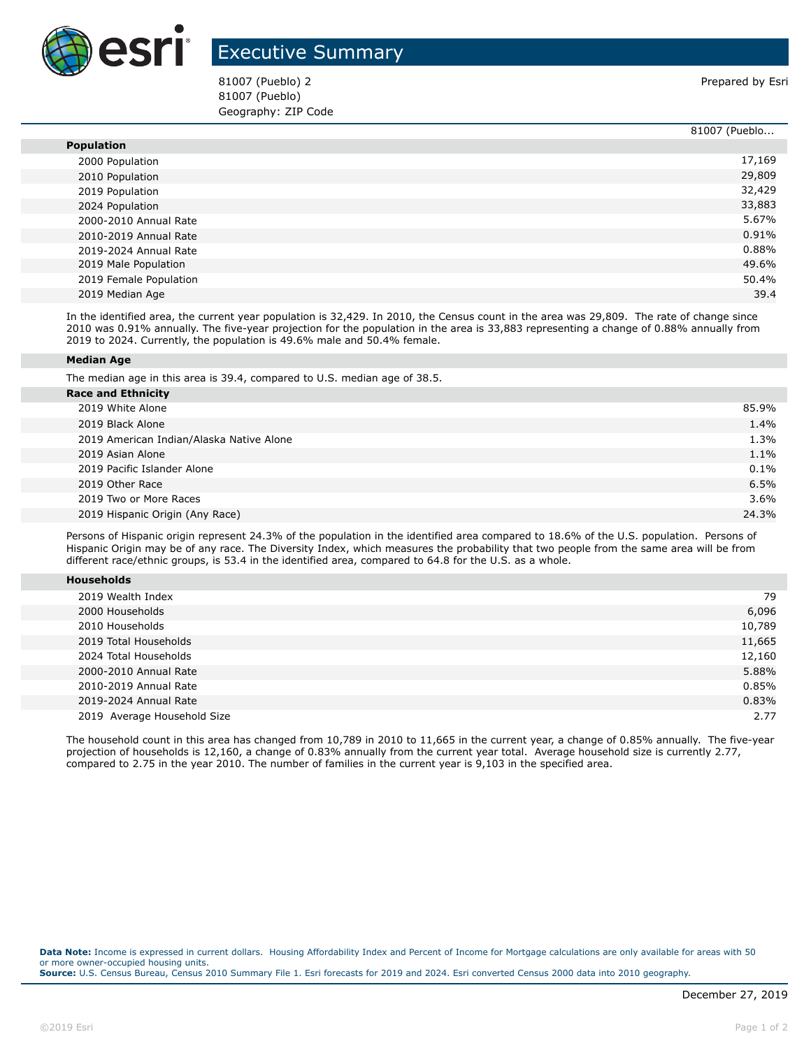

## Executive Summary

81007 (Pueblo) 2 **Prepared by Esri** Prepared by Esri 81007 (Pueblo) Geography: ZIP Code

|                        | 81007 (Pueblo |
|------------------------|---------------|
| <b>Population</b>      |               |
| 2000 Population        | 17,169        |
| 2010 Population        | 29,809        |
| 2019 Population        | 32,429        |
| 2024 Population        | 33,883        |
| 2000-2010 Annual Rate  | 5.67%         |
| 2010-2019 Annual Rate  | 0.91%         |
| 2019-2024 Annual Rate  | 0.88%         |
| 2019 Male Population   | 49.6%         |
| 2019 Female Population | 50.4%         |
| 2019 Median Age        | 39.4          |

In the identified area, the current year population is 32,429. In 2010, the Census count in the area was 29,809. The rate of change since 2010 was 0.91% annually. The five-year projection for the population in the area is 33,883 representing a change of 0.88% annually from 2019 to 2024. Currently, the population is 49.6% male and 50.4% female.

## **Median Age**

The median age in this area is 39.4, compared to U.S. median age of 38.5.

| <b>Race and Ethnicity</b>                |         |
|------------------------------------------|---------|
| 2019 White Alone                         | 85.9%   |
| 2019 Black Alone                         | 1.4%    |
| 2019 American Indian/Alaska Native Alone | 1.3%    |
| 2019 Asian Alone                         | 1.1%    |
| 2019 Pacific Islander Alone              | $0.1\%$ |
| 2019 Other Race                          | 6.5%    |
| 2019 Two or More Races                   | $3.6\%$ |
| 2019 Hispanic Origin (Any Race)          | 24.3%   |
|                                          |         |

Persons of Hispanic origin represent 24.3% of the population in the identified area compared to 18.6% of the U.S. population. Persons of Hispanic Origin may be of any race. The Diversity Index, which measures the probability that two people from the same area will be from different race/ethnic groups, is 53.4 in the identified area, compared to 64.8 for the U.S. as a whole.

| <b>Households</b> |
|-------------------|
|-------------------|

| 2019 Wealth Index           | 79     |
|-----------------------------|--------|
| 2000 Households             | 6,096  |
| 2010 Households             | 10,789 |
| 2019 Total Households       | 11,665 |
| 2024 Total Households       | 12,160 |
| 2000-2010 Annual Rate       | 5.88%  |
| 2010-2019 Annual Rate       | 0.85%  |
| 2019-2024 Annual Rate       | 0.83%  |
| 2019 Average Household Size | 2.77   |

The household count in this area has changed from 10,789 in 2010 to 11,665 in the current year, a change of 0.85% annually. The five-year projection of households is 12,160, a change of 0.83% annually from the current year total. Average household size is currently 2.77, compared to 2.75 in the year 2010. The number of families in the current year is 9,103 in the specified area.

**Data Note:** Income is expressed in current dollars. Housing Affordability Index and Percent of Income for Mortgage calculations are only available for areas with 50 or more owner-occupied housing units. **Source:** U.S. Census Bureau, Census 2010 Summary File 1. Esri forecasts for 2019 and 2024. Esri converted Census 2000 data into 2010 geography.